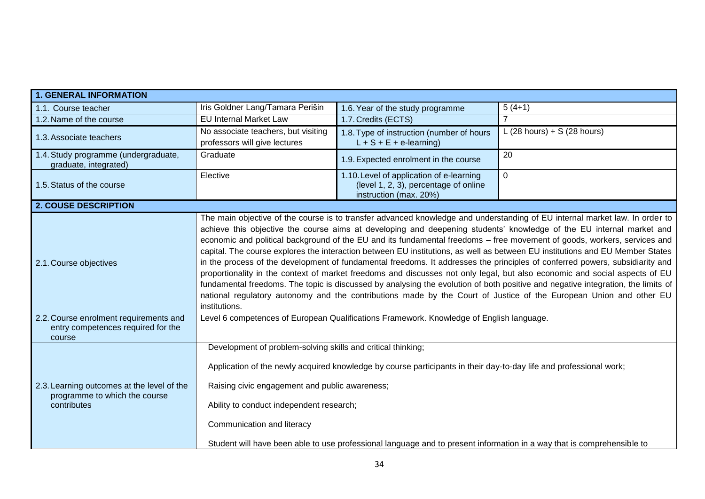| <b>1. GENERAL INFORMATION</b>                                                                          |                                                                                                                          |                                                                                                                        |                                                                                                                                                                                                                                                                                                                                                                                                                                                                                                                                                                                                                                                                                                                                                                                                                                                                                                                                                                                                                                          |
|--------------------------------------------------------------------------------------------------------|--------------------------------------------------------------------------------------------------------------------------|------------------------------------------------------------------------------------------------------------------------|------------------------------------------------------------------------------------------------------------------------------------------------------------------------------------------------------------------------------------------------------------------------------------------------------------------------------------------------------------------------------------------------------------------------------------------------------------------------------------------------------------------------------------------------------------------------------------------------------------------------------------------------------------------------------------------------------------------------------------------------------------------------------------------------------------------------------------------------------------------------------------------------------------------------------------------------------------------------------------------------------------------------------------------|
| 1.1. Course teacher                                                                                    | Iris Goldner Lang/Tamara Perišin                                                                                         | 1.6. Year of the study programme                                                                                       | $5(4+1)$                                                                                                                                                                                                                                                                                                                                                                                                                                                                                                                                                                                                                                                                                                                                                                                                                                                                                                                                                                                                                                 |
| 1.2. Name of the course                                                                                | <b>EU Internal Market Law</b>                                                                                            | 1.7. Credits (ECTS)                                                                                                    |                                                                                                                                                                                                                                                                                                                                                                                                                                                                                                                                                                                                                                                                                                                                                                                                                                                                                                                                                                                                                                          |
| 1.3. Associate teachers                                                                                | No associate teachers, but visiting                                                                                      | 1.8. Type of instruction (number of hours                                                                              | L (28 hours) + S (28 hours)                                                                                                                                                                                                                                                                                                                                                                                                                                                                                                                                                                                                                                                                                                                                                                                                                                                                                                                                                                                                              |
|                                                                                                        | professors will give lectures                                                                                            | $L + S + E + e$ -learning)                                                                                             |                                                                                                                                                                                                                                                                                                                                                                                                                                                                                                                                                                                                                                                                                                                                                                                                                                                                                                                                                                                                                                          |
| 1.4. Study programme (undergraduate,<br>graduate, integrated)                                          | Graduate                                                                                                                 | 1.9. Expected enrolment in the course                                                                                  | 20                                                                                                                                                                                                                                                                                                                                                                                                                                                                                                                                                                                                                                                                                                                                                                                                                                                                                                                                                                                                                                       |
|                                                                                                        | Elective                                                                                                                 | 1.10. Level of application of e-learning                                                                               | $\mathbf{0}$                                                                                                                                                                                                                                                                                                                                                                                                                                                                                                                                                                                                                                                                                                                                                                                                                                                                                                                                                                                                                             |
| 1.5. Status of the course                                                                              |                                                                                                                          | (level 1, 2, 3), percentage of online<br>instruction (max. 20%)                                                        |                                                                                                                                                                                                                                                                                                                                                                                                                                                                                                                                                                                                                                                                                                                                                                                                                                                                                                                                                                                                                                          |
| <b>2. COUSE DESCRIPTION</b>                                                                            |                                                                                                                          |                                                                                                                        |                                                                                                                                                                                                                                                                                                                                                                                                                                                                                                                                                                                                                                                                                                                                                                                                                                                                                                                                                                                                                                          |
| 2.1. Course objectives<br>2.2. Course enrolment requirements and<br>entry competences required for the | institutions.                                                                                                            | Level 6 competences of European Qualifications Framework. Knowledge of English language.                               | The main objective of the course is to transfer advanced knowledge and understanding of EU internal market law. In order to<br>achieve this objective the course aims at developing and deepening students' knowledge of the EU internal market and<br>economic and political background of the EU and its fundamental freedoms – free movement of goods, workers, services and<br>capital. The course explores the interaction between EU institutions, as well as between EU institutions and EU Member States<br>in the process of the development of fundamental freedoms. It addresses the principles of conferred powers, subsidiarity and<br>proportionality in the context of market freedoms and discusses not only legal, but also economic and social aspects of EU<br>fundamental freedoms. The topic is discussed by analysing the evolution of both positive and negative integration, the limits of<br>national regulatory autonomy and the contributions made by the Court of Justice of the European Union and other EU |
| course                                                                                                 | Development of problem-solving skills and critical thinking;                                                             |                                                                                                                        |                                                                                                                                                                                                                                                                                                                                                                                                                                                                                                                                                                                                                                                                                                                                                                                                                                                                                                                                                                                                                                          |
| 2.3. Learning outcomes at the level of the<br>programme to which the course<br>contributes             | Raising civic engagement and public awareness;<br>Ability to conduct independent research;<br>Communication and literacy | Application of the newly acquired knowledge by course participants in their day-to-day life and professional work;     |                                                                                                                                                                                                                                                                                                                                                                                                                                                                                                                                                                                                                                                                                                                                                                                                                                                                                                                                                                                                                                          |
|                                                                                                        |                                                                                                                          | Student will have been able to use professional language and to present information in a way that is comprehensible to |                                                                                                                                                                                                                                                                                                                                                                                                                                                                                                                                                                                                                                                                                                                                                                                                                                                                                                                                                                                                                                          |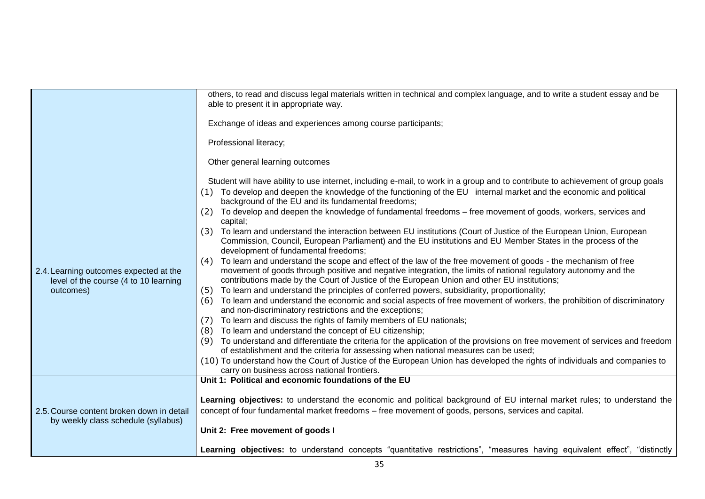|                                                                                 | others, to read and discuss legal materials written in technical and complex language, and to write a student essay and be<br>able to present it in appropriate way.                                                                                                                                                                   |  |  |
|---------------------------------------------------------------------------------|----------------------------------------------------------------------------------------------------------------------------------------------------------------------------------------------------------------------------------------------------------------------------------------------------------------------------------------|--|--|
|                                                                                 | Exchange of ideas and experiences among course participants;                                                                                                                                                                                                                                                                           |  |  |
|                                                                                 | Professional literacy;                                                                                                                                                                                                                                                                                                                 |  |  |
|                                                                                 | Other general learning outcomes                                                                                                                                                                                                                                                                                                        |  |  |
|                                                                                 | Student will have ability to use internet, including e-mail, to work in a group and to contribute to achievement of group goals                                                                                                                                                                                                        |  |  |
|                                                                                 | To develop and deepen the knowledge of the functioning of the EU internal market and the economic and political<br>(1)<br>background of the EU and its fundamental freedoms;                                                                                                                                                           |  |  |
| 2.4. Learning outcomes expected at the<br>level of the course (4 to 10 learning | To develop and deepen the knowledge of fundamental freedoms – free movement of goods, workers, services and<br>(2)<br>capital;                                                                                                                                                                                                         |  |  |
|                                                                                 | To learn and understand the interaction between EU institutions (Court of Justice of the European Union, European<br>(3)<br>Commission, Council, European Parliament) and the EU institutions and EU Member States in the process of the<br>development of fundamental freedoms;                                                       |  |  |
|                                                                                 | To learn and understand the scope and effect of the law of the free movement of goods - the mechanism of free<br>(4)<br>movement of goods through positive and negative integration, the limits of national regulatory autonomy and the<br>contributions made by the Court of Justice of the European Union and other EU institutions; |  |  |
| outcomes)                                                                       | To learn and understand the principles of conferred powers, subsidiarity, proportionality;<br>(5)                                                                                                                                                                                                                                      |  |  |
|                                                                                 | To learn and understand the economic and social aspects of free movement of workers, the prohibition of discriminatory<br>(6)<br>and non-discriminatory restrictions and the exceptions;                                                                                                                                               |  |  |
|                                                                                 | To learn and discuss the rights of family members of EU nationals;<br>(7)<br>To learn and understand the concept of EU citizenship;<br>(8)                                                                                                                                                                                             |  |  |
|                                                                                 | To understand and differentiate the criteria for the application of the provisions on free movement of services and freedom<br>(9)<br>of establishment and the criteria for assessing when national measures can be used;                                                                                                              |  |  |
|                                                                                 | (10) To understand how the Court of Justice of the European Union has developed the rights of individuals and companies to<br>carry on business across national frontiers.                                                                                                                                                             |  |  |
|                                                                                 | Unit 1: Political and economic foundations of the EU                                                                                                                                                                                                                                                                                   |  |  |
|                                                                                 |                                                                                                                                                                                                                                                                                                                                        |  |  |
| 2.5. Course content broken down in detail                                       | Learning objectives: to understand the economic and political background of EU internal market rules; to understand the<br>concept of four fundamental market freedoms – free movement of goods, persons, services and capital.                                                                                                        |  |  |
| by weekly class schedule (syllabus)                                             | Unit 2: Free movement of goods I                                                                                                                                                                                                                                                                                                       |  |  |
|                                                                                 | Learning objectives: to understand concepts "quantitative restrictions", "measures having equivalent effect", "distinctly                                                                                                                                                                                                              |  |  |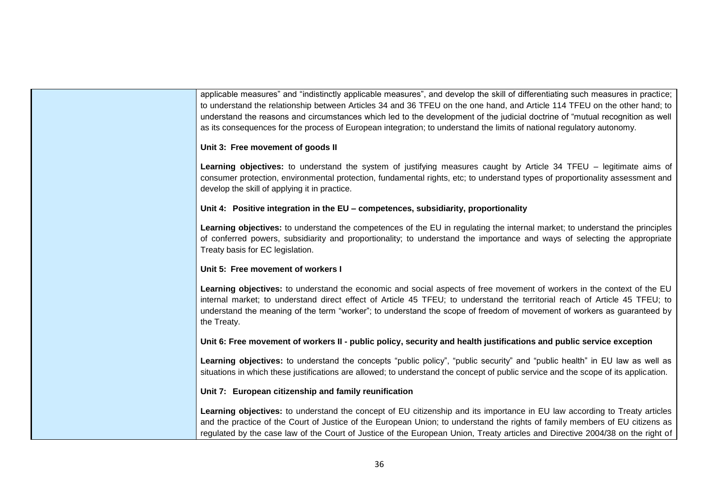applicable measures" and "indistinctly applicable measures", and develop the skill of differentiating such measures in practice; to understand the relationship between Articles 34 and 36 TFEU on the one hand, and Article 114 TFEU on the other hand; to understand the reasons and circumstances which led to the development of the judicial doctrine of "mutual recognition as well as its consequences for the process of European integration; to understand the limits of national regulatory autonomy. **Unit 3: Free movement of goods II Learning objectives:** to understand the system of justifying measures caught by Article 34 TFEU – legitimate aims of consumer protection, environmental protection, fundamental rights, etc; to understand types of proportionality assessment and develop the skill of applying it in practice. **Unit 4: Positive integration in the EU – competences, subsidiarity, proportionality Learning objectives:** to understand the competences of the EU in regulating the internal market; to understand the principles of conferred powers, subsidiarity and proportionality; to understand the importance and ways of selecting the appropriate Treaty basis for EC legislation. **Unit 5: Free movement of workers I Learning objectives:** to understand the economic and social aspects of free movement of workers in the context of the EU internal market; to understand direct effect of Article 45 TFEU; to understand the territorial reach of Article 45 TFEU; to understand the meaning of the term "worker"; to understand the scope of freedom of movement of workers as guaranteed by the Treaty. **Unit 6: Free movement of workers II - public policy, security and health justifications and public service exception** Learning objectives: to understand the concepts "public policy", "public security" and "public health" in EU law as well as situations in which these justifications are allowed; to understand the concept of public service and the scope of its application. **Unit 7: European citizenship and family reunification Learning objectives:** to understand the concept of EU citizenship and its importance in EU law according to Treaty articles and the practice of the Court of Justice of the European Union; to understand the rights of family members of EU citizens as regulated by the case law of the Court of Justice of the European Union, Treaty articles and Directive 2004/38 on the right of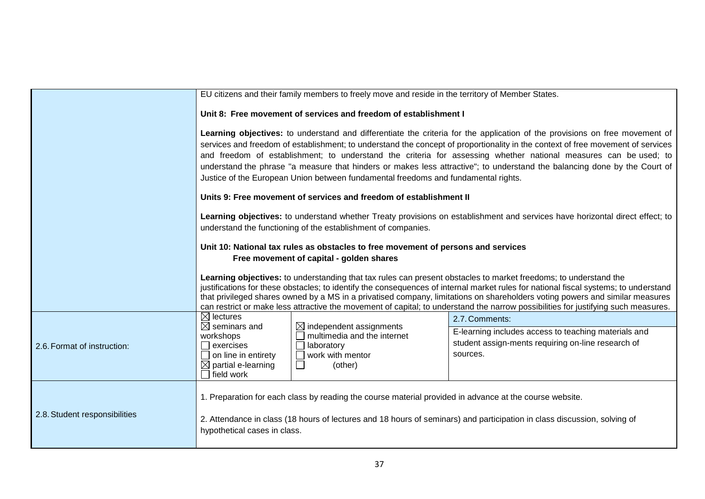|                               |                                                                                                                                                                                                                                                                                                                                                                                                                                                                                                                                                                                                       | EU citizens and their family members to freely move and reside in the territory of Member States.                             |                                                                                                                                                                                                                                                                                                                                                                                                                                                                                                                                |  |
|-------------------------------|-------------------------------------------------------------------------------------------------------------------------------------------------------------------------------------------------------------------------------------------------------------------------------------------------------------------------------------------------------------------------------------------------------------------------------------------------------------------------------------------------------------------------------------------------------------------------------------------------------|-------------------------------------------------------------------------------------------------------------------------------|--------------------------------------------------------------------------------------------------------------------------------------------------------------------------------------------------------------------------------------------------------------------------------------------------------------------------------------------------------------------------------------------------------------------------------------------------------------------------------------------------------------------------------|--|
|                               | Unit 8: Free movement of services and freedom of establishment I                                                                                                                                                                                                                                                                                                                                                                                                                                                                                                                                      |                                                                                                                               |                                                                                                                                                                                                                                                                                                                                                                                                                                                                                                                                |  |
|                               | Learning objectives: to understand and differentiate the criteria for the application of the provisions on free movement of<br>services and freedom of establishment; to understand the concept of proportionality in the context of free movement of services<br>and freedom of establishment; to understand the criteria for assessing whether national measures can be used; to<br>understand the phrase "a measure that hinders or makes less attractive"; to understand the balancing done by the Court of<br>Justice of the European Union between fundamental freedoms and fundamental rights. |                                                                                                                               |                                                                                                                                                                                                                                                                                                                                                                                                                                                                                                                                |  |
|                               | Units 9: Free movement of services and freedom of establishment II                                                                                                                                                                                                                                                                                                                                                                                                                                                                                                                                    |                                                                                                                               |                                                                                                                                                                                                                                                                                                                                                                                                                                                                                                                                |  |
|                               | Learning objectives: to understand whether Treaty provisions on establishment and services have horizontal direct effect; to<br>understand the functioning of the establishment of companies.                                                                                                                                                                                                                                                                                                                                                                                                         |                                                                                                                               |                                                                                                                                                                                                                                                                                                                                                                                                                                                                                                                                |  |
|                               | Unit 10: National tax rules as obstacles to free movement of persons and services<br>Free movement of capital - golden shares                                                                                                                                                                                                                                                                                                                                                                                                                                                                         |                                                                                                                               |                                                                                                                                                                                                                                                                                                                                                                                                                                                                                                                                |  |
|                               |                                                                                                                                                                                                                                                                                                                                                                                                                                                                                                                                                                                                       |                                                                                                                               | Learning objectives: to understanding that tax rules can present obstacles to market freedoms; to understand the<br>justifications for these obstacles; to identify the consequences of internal market rules for national fiscal systems; to understand<br>that privileged shares owned by a MS in a privatised company, limitations on shareholders voting powers and similar measures<br>can restrict or make less attractive the movement of capital; to understand the narrow possibilities for justifying such measures. |  |
|                               | $\boxtimes$ lectures<br>$\boxtimes$ seminars and                                                                                                                                                                                                                                                                                                                                                                                                                                                                                                                                                      |                                                                                                                               | 2.7. Comments:                                                                                                                                                                                                                                                                                                                                                                                                                                                                                                                 |  |
| 2.6. Format of instruction:   | workshops<br>$\Box$ exercises<br>$\Box$ on line in entirety<br>$\boxtimes$ partial e-learning<br>$\Box$ field work                                                                                                                                                                                                                                                                                                                                                                                                                                                                                    | $\boxtimes$ independent assignments<br>multimedia and the internet<br>$\Box$ laboratory<br>$\Box$ work with mentor<br>(other) | E-learning includes access to teaching materials and<br>student assign-ments requiring on-line research of<br>sources.                                                                                                                                                                                                                                                                                                                                                                                                         |  |
| 2.8. Student responsibilities | hypothetical cases in class.                                                                                                                                                                                                                                                                                                                                                                                                                                                                                                                                                                          | 1. Preparation for each class by reading the course material provided in advance at the course website.                       | 2. Attendance in class (18 hours of lectures and 18 hours of seminars) and participation in class discussion, solving of                                                                                                                                                                                                                                                                                                                                                                                                       |  |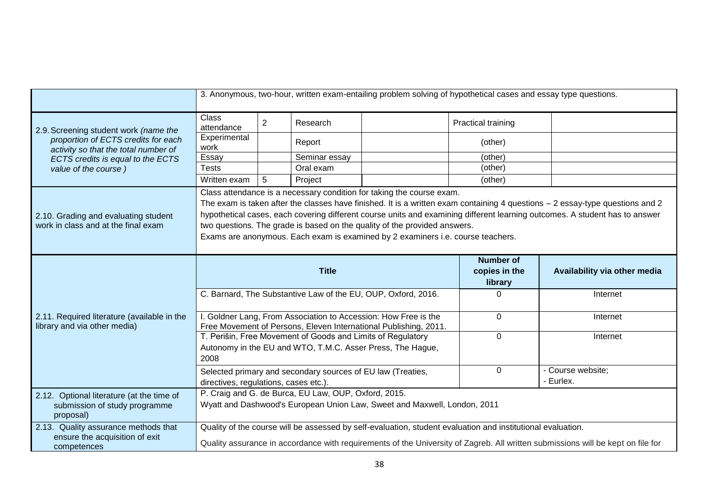|                                                                                                                                                                                   | 3. Anonymous, two-hour, written exam-entailing problem solving of hypothetical cases and essay type questions.                                                                                                                                                                                                                                                                                                                                                                                        |                |                                                                                                                                  |                                              |                              |                                |
|-----------------------------------------------------------------------------------------------------------------------------------------------------------------------------------|-------------------------------------------------------------------------------------------------------------------------------------------------------------------------------------------------------------------------------------------------------------------------------------------------------------------------------------------------------------------------------------------------------------------------------------------------------------------------------------------------------|----------------|----------------------------------------------------------------------------------------------------------------------------------|----------------------------------------------|------------------------------|--------------------------------|
| 2.9. Screening student work (name the<br>proportion of ECTS credits for each<br>activity so that the total number of<br>ECTS credits is equal to the ECTS<br>value of the course) | <b>Class</b><br>attendance                                                                                                                                                                                                                                                                                                                                                                                                                                                                            | $\overline{2}$ | Research                                                                                                                         |                                              | Practical training           |                                |
|                                                                                                                                                                                   | Experimental<br>work                                                                                                                                                                                                                                                                                                                                                                                                                                                                                  |                | Report                                                                                                                           |                                              | (other)                      |                                |
|                                                                                                                                                                                   | Essay                                                                                                                                                                                                                                                                                                                                                                                                                                                                                                 |                | Seminar essay                                                                                                                    |                                              | (other)                      |                                |
|                                                                                                                                                                                   | <b>Tests</b>                                                                                                                                                                                                                                                                                                                                                                                                                                                                                          |                | Oral exam                                                                                                                        |                                              | (other)                      |                                |
|                                                                                                                                                                                   | Written exam                                                                                                                                                                                                                                                                                                                                                                                                                                                                                          | 5              | Project                                                                                                                          |                                              | (other)                      |                                |
| 2.10. Grading and evaluating student<br>work in class and at the final exam                                                                                                       | Class attendance is a necessary condition for taking the course exam.<br>The exam is taken after the classes have finished. It is a written exam containing 4 questions - 2 essay-type questions and 2<br>hypothetical cases, each covering different course units and examining different learning outcomes. A student has to answer<br>two questions. The grade is based on the quality of the provided answers.<br>Exams are anonymous. Each exam is examined by 2 examiners i.e. course teachers. |                |                                                                                                                                  |                                              |                              |                                |
| 2.11. Required literature (available in the<br>library and via other media)                                                                                                       | <b>Title</b>                                                                                                                                                                                                                                                                                                                                                                                                                                                                                          |                |                                                                                                                                  | <b>Number of</b><br>copies in the<br>library | Availability via other media |                                |
|                                                                                                                                                                                   | C. Barnard, The Substantive Law of the EU, OUP, Oxford, 2016.                                                                                                                                                                                                                                                                                                                                                                                                                                         |                |                                                                                                                                  | 0                                            | Internet                     |                                |
|                                                                                                                                                                                   | I. Goldner Lang, From Association to Accession: How Free is the<br>Free Movement of Persons, Eleven International Publishing, 2011.                                                                                                                                                                                                                                                                                                                                                                   |                |                                                                                                                                  | 0                                            | Internet                     |                                |
|                                                                                                                                                                                   | T. Perišin, Free Movement of Goods and Limits of Regulatory<br>$\mathbf 0$<br>Autonomy in the EU and WTO, T.M.C. Asser Press, The Hague,<br>2008                                                                                                                                                                                                                                                                                                                                                      |                |                                                                                                                                  |                                              |                              |                                |
|                                                                                                                                                                                   |                                                                                                                                                                                                                                                                                                                                                                                                                                                                                                       |                |                                                                                                                                  |                                              |                              | Internet                       |
|                                                                                                                                                                                   | directives, regulations, cases etc.).                                                                                                                                                                                                                                                                                                                                                                                                                                                                 |                | Selected primary and secondary sources of EU law (Treaties,                                                                      |                                              | 0                            | - Course website;<br>- Eurlex. |
| 2.12. Optional literature (at the time of<br>submission of study programme<br>proposal)                                                                                           |                                                                                                                                                                                                                                                                                                                                                                                                                                                                                                       |                | P. Craig and G. de Burca, EU Law, OUP, Oxford, 2015.<br>Wyatt and Dashwood's European Union Law, Sweet and Maxwell, London, 2011 |                                              |                              |                                |